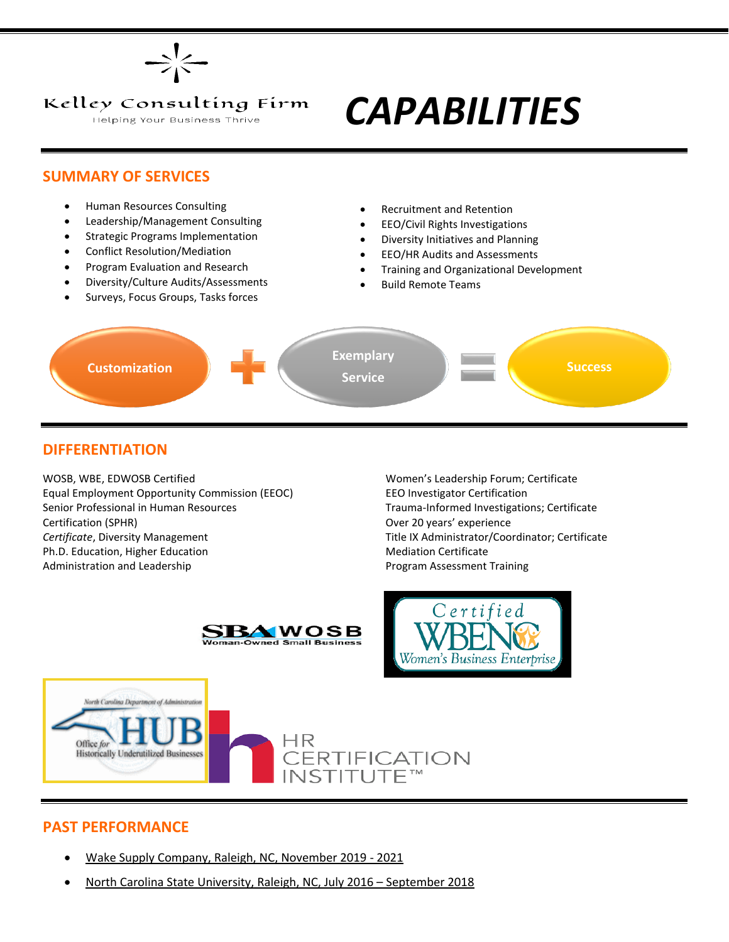

#### Kelley Consulting Firm

Helping Your Business Thrive

# *CAPABILITIES*

#### **SUMMARY OF SERVICES**

- Human Resources Consulting
- Leadership/Management Consulting
- Strategic Programs Implementation
- Conflict Resolution/Mediation
- Program Evaluation and Research
- Diversity/Culture Audits/Assessments
- Surveys, Focus Groups, Tasks forces
- Recruitment and Retention
- EEO/Civil Rights Investigations
- Diversity Initiatives and Planning
- EEO/HR Audits and Assessments
- Training and Organizational Development
- Build Remote Teams



### **DIFFERENTIATION**

WOSB, WBE, EDWOSB Certified Women's Leadership Forum; Certificate Equal Employment Opportunity Commission (EEOC) EEO Investigator Certification Senior Professional in Human Resources Trauma-Informed Investigations; Certificate Certification (SPHR) Over 20 years' experience *Certificate*, Diversity Management Title IX Administrator/Coordinator; Certificate Ph.D. Education, Higher Education Mediation Certificate Administration and Leadership **Program Assessment Training** Program Assessment Training







### **PAST PERFORMANCE**

- Wake Supply Company, Raleigh, NC, November 2019 2021
- North Carolina State University, Raleigh, NC, July 2016 September 2018